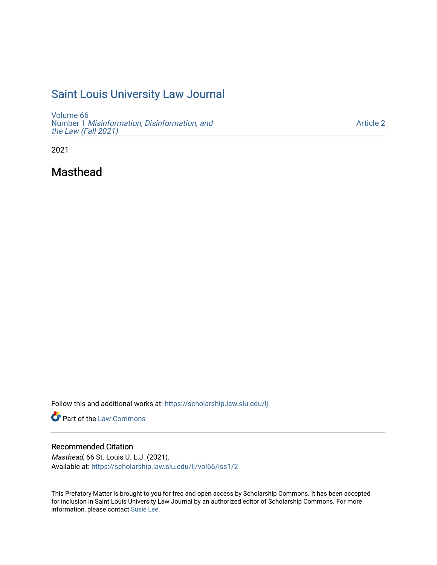# [Saint Louis University Law Journal](https://scholarship.law.slu.edu/lj)

[Volume 66](https://scholarship.law.slu.edu/lj/vol66) Number 1 [Misinformation, Disinformation, and](https://scholarship.law.slu.edu/lj/vol66/iss1)  [the Law \(Fall 2021\)](https://scholarship.law.slu.edu/lj/vol66/iss1)

[Article 2](https://scholarship.law.slu.edu/lj/vol66/iss1/2) 

2021

Masthead

Follow this and additional works at: [https://scholarship.law.slu.edu/lj](https://scholarship.law.slu.edu/lj?utm_source=scholarship.law.slu.edu%2Flj%2Fvol66%2Fiss1%2F2&utm_medium=PDF&utm_campaign=PDFCoverPages) 

Part of the [Law Commons](http://network.bepress.com/hgg/discipline/578?utm_source=scholarship.law.slu.edu%2Flj%2Fvol66%2Fiss1%2F2&utm_medium=PDF&utm_campaign=PDFCoverPages)

## Recommended Citation

Masthead, 66 St. Louis U. L.J. (2021). Available at: [https://scholarship.law.slu.edu/lj/vol66/iss1/2](https://scholarship.law.slu.edu/lj/vol66/iss1/2?utm_source=scholarship.law.slu.edu%2Flj%2Fvol66%2Fiss1%2F2&utm_medium=PDF&utm_campaign=PDFCoverPages) 

This Prefatory Matter is brought to you for free and open access by Scholarship Commons. It has been accepted for inclusion in Saint Louis University Law Journal by an authorized editor of Scholarship Commons. For more information, please contact [Susie Lee](mailto:susie.lee@slu.edu).